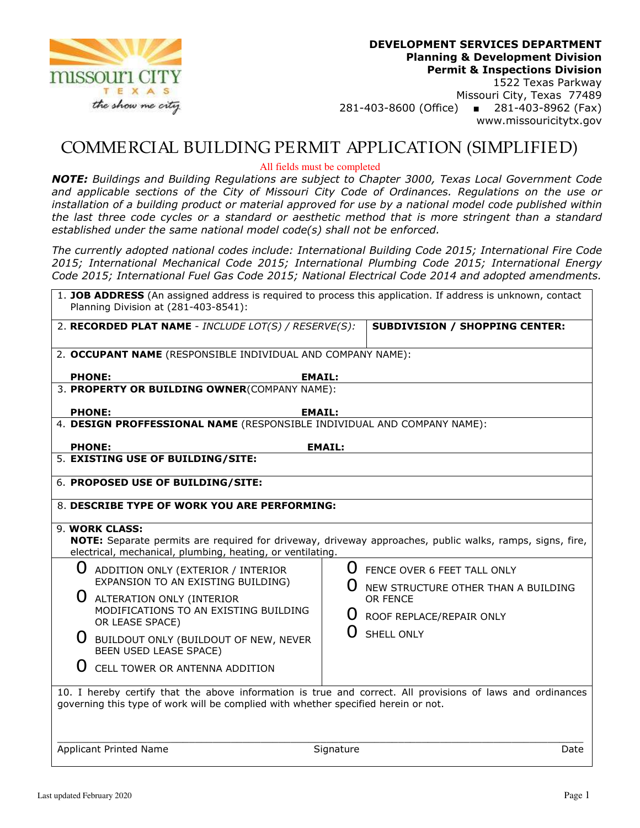

1522 Texas Parkway Missouri City, Texas 77489 281-403-8600 (Office) ■ 281-403-8962 (Fax) www.missouricitytx.gov

## COMMERCIAL BUILDING PERMIT APPLICATION (SIMPLIFIED)

All fields must be completed

*NOTE: Buildings and Building Regulations are subject to Chapter 3000, Texas Local Government Code and applicable sections of the City of Missouri City Code of Ordinances. Regulations on the use or installation of a building product or material approved for use by a national model code published within the last three code cycles or a standard or aesthetic method that is more stringent than a standard established under the same national model code(s) shall not be enforced.* 

*The currently adopted national codes include: International Building Code 2015; International Fire Code 2015; International Mechanical Code 2015; International Plumbing Code 2015; International Energy Code 2015; International Fuel Gas Code 2015; National Electrical Code 2014 and adopted amendments.* 

| 1. JOB ADDRESS (An assigned address is required to process this application. If address is unknown, contact<br>Planning Division at (281-403-8541):                                              |                                                                                                          |  |  |
|--------------------------------------------------------------------------------------------------------------------------------------------------------------------------------------------------|----------------------------------------------------------------------------------------------------------|--|--|
| 2. RECORDED PLAT NAME - INCLUDE LOT(S) / RESERVE(S):                                                                                                                                             | <b>SUBDIVISION / SHOPPING CENTER:</b>                                                                    |  |  |
| 2. OCCUPANT NAME (RESPONSIBLE INDIVIDUAL AND COMPANY NAME):                                                                                                                                      |                                                                                                          |  |  |
| <b>PHONE:</b><br><b>EMAIL:</b>                                                                                                                                                                   |                                                                                                          |  |  |
| 3. PROPERTY OR BUILDING OWNER(COMPANY NAME):                                                                                                                                                     |                                                                                                          |  |  |
| <b>PHONE:</b><br><b>EMAIL:</b>                                                                                                                                                                   |                                                                                                          |  |  |
| 4. DESIGN PROFFESSIONAL NAME (RESPONSIBLE INDIVIDUAL AND COMPANY NAME):                                                                                                                          |                                                                                                          |  |  |
| <b>PHONE:</b>                                                                                                                                                                                    | <b>EMAIL:</b>                                                                                            |  |  |
| 5. EXISTING USE OF BUILDING/SITE:                                                                                                                                                                |                                                                                                          |  |  |
| 6. PROPOSED USE OF BUILDING/SITE:                                                                                                                                                                |                                                                                                          |  |  |
| 8. DESCRIBE TYPE OF WORK YOU ARE PERFORMING:                                                                                                                                                     |                                                                                                          |  |  |
|                                                                                                                                                                                                  |                                                                                                          |  |  |
| 9. WORK CLASS:<br>electrical, mechanical, plumbing, heating, or ventilating.                                                                                                                     | NOTE: Separate permits are required for driveway, driveway approaches, public walks, ramps, signs, fire, |  |  |
| $\left( \right)$<br>ADDITION ONLY (EXTERIOR / INTERIOR                                                                                                                                           | U FENCE OVER 6 FEET TALL ONLY                                                                            |  |  |
| EXPANSION TO AN EXISTING BUILDING)                                                                                                                                                               | NEW STRUCTURE OTHER THAN A BUILDING                                                                      |  |  |
| ALTERATION ONLY (INTERIOR<br>MODIFICATIONS TO AN EXISTING BUILDING                                                                                                                               | OR FENCE                                                                                                 |  |  |
| OR LEASE SPACE)                                                                                                                                                                                  | U ROOF REPLACE/REPAIR ONLY                                                                               |  |  |
| BUILDOUT ONLY (BUILDOUT OF NEW, NEVER<br><b>BEEN USED LEASE SPACE)</b>                                                                                                                           | SHELL ONLY                                                                                               |  |  |
| $\left( \right)$<br>CELL TOWER OR ANTENNA ADDITION                                                                                                                                               |                                                                                                          |  |  |
| 10. I hereby certify that the above information is true and correct. All provisions of laws and ordinances<br>governing this type of work will be complied with whether specified herein or not. |                                                                                                          |  |  |
| <b>Applicant Printed Name</b>                                                                                                                                                                    | Signature<br>Date                                                                                        |  |  |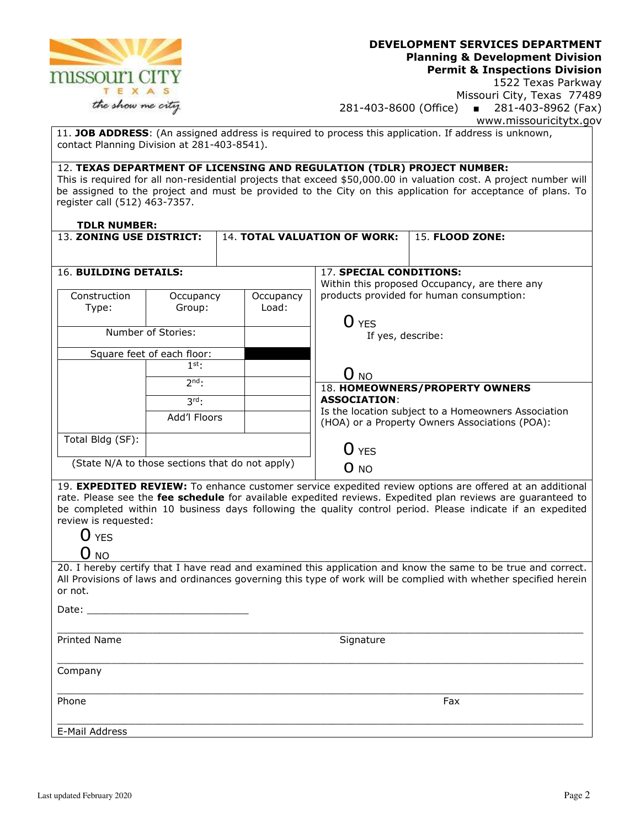

1522 Texas Parkway Missouri City, Texas 77489 281-403-8600 (Office) ■ 281-403-8962 (Fax) www.missouricitytx.gov

11. **JOB ADDRESS**: (An assigned address is required to process this application. If address is unknown, contact Planning Division at 281-403-8541).

#### 12. **TEXAS DEPARTMENT OF LICENSING AND REGULATION (TDLR) PROJECT NUMBER:**

This is required for all non-residential projects that exceed \$50,000.00 in valuation cost. A project number will be assigned to the project and must be provided to the City on this application for acceptance of plans. To register call (512) 463-7357.

#### **TDLR NUMBER:**

| 13. ZONING USE DISTRICT: |                            | 14. TOTAL VALUATION OF WORK:                    |                         | <b>15. FLOOD ZONE:</b>                                                                                |
|--------------------------|----------------------------|-------------------------------------------------|-------------------------|-------------------------------------------------------------------------------------------------------|
|                          |                            |                                                 |                         |                                                                                                       |
| 16. BUILDING DETAILS:    |                            |                                                 | 17. SPECIAL CONDITIONS: | Within this proposed Occupancy, are there any                                                         |
| Construction<br>Type:    | Occupancy<br>Group:        | Occupancy<br>Load:                              |                         | products provided for human consumption:                                                              |
|                          | Number of Stories:         |                                                 | O YES                   |                                                                                                       |
|                          |                            |                                                 | If yes, describe:       |                                                                                                       |
|                          | Square feet of each floor: |                                                 |                         |                                                                                                       |
|                          | $1^{\text{st}}$ :          |                                                 | O <sub>NO</sub>         |                                                                                                       |
|                          | $2nd$ :                    |                                                 |                         | 18. HOMEOWNERS/PROPERTY OWNERS                                                                        |
|                          | $3rd_1$                    |                                                 | <b>ASSOCIATION:</b>     |                                                                                                       |
|                          | Add'l Floors               |                                                 |                         | Is the location subject to a Homeowners Association<br>(HOA) or a Property Owners Associations (POA): |
| Total Bldg (SF):         |                            |                                                 | O yes                   |                                                                                                       |
|                          |                            | (State N/A to those sections that do not apply) | O NO                    |                                                                                                       |

19. **EXPEDITED REVIEW:** To enhance customer service expedited review options are offered at an additional rate. Please see the **fee schedule** for available expedited reviews. Expedited plan reviews are guaranteed to be completed within 10 business days following the quality control period. Please indicate if an expedited review is requested:

#### $O$  NO

20. I hereby certify that I have read and examined this application and know the same to be true and correct. All Provisions of laws and ordinances governing this type of work will be complied with whether specified herein or not.

\_\_\_\_\_\_\_\_\_\_\_\_\_\_\_\_\_\_\_\_\_\_\_\_\_\_\_\_\_\_\_\_\_\_\_\_\_\_\_\_\_\_\_\_\_\_\_\_\_\_\_\_\_\_\_\_\_\_\_\_\_\_\_\_\_\_\_\_\_\_\_\_\_\_\_\_\_\_\_\_\_\_\_\_\_\_\_\_

Date:

\_\_\_\_\_\_\_\_\_\_\_\_\_\_\_\_\_\_\_\_\_\_\_\_\_\_\_\_\_\_\_\_\_\_\_\_\_\_\_\_\_\_\_\_\_\_\_\_\_\_\_\_\_\_\_\_\_\_\_\_\_\_\_\_\_\_\_\_\_\_\_\_\_\_\_\_\_\_\_\_\_\_\_\_\_\_\_\_ Printed Name Signature Signature

Company

\_\_\_\_\_\_\_\_\_\_\_\_\_\_\_\_\_\_\_\_\_\_\_\_\_\_\_\_\_\_\_\_\_\_\_\_\_\_\_\_\_\_\_\_\_\_\_\_\_\_\_\_\_\_\_\_\_\_\_\_\_\_\_\_\_\_\_\_\_\_\_\_\_\_\_\_\_\_\_\_\_\_\_\_\_\_\_\_ Phone Fax **Fax Executive Contract Contract Contract Contract Contract Contract Contract Contract Contract Contract Contract Contract Contract Contract Contract Contract Contract Contract Contract Contract Contract Contract** 

\_\_\_\_\_\_\_\_\_\_\_\_\_\_\_\_\_\_\_\_\_\_\_\_\_\_\_\_\_\_\_\_\_\_\_\_\_\_\_\_\_\_\_\_\_\_\_\_\_\_\_\_\_\_\_\_\_\_\_\_\_\_\_\_\_\_\_\_\_\_\_\_\_\_\_\_\_\_\_\_\_\_\_\_\_\_\_\_ E-Mail Address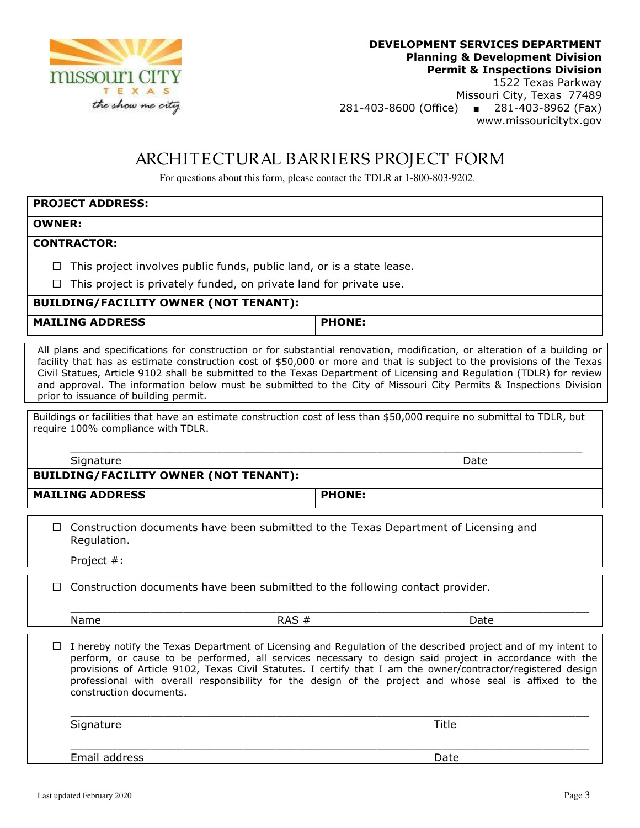

1522 Texas Parkway Missouri City, Texas 77489 281-403-8600 (Office) ■ 281-403-8962 (Fax) www.missouricitytx.gov

## ARCHITECTURAL BARRIERS PROJECT FORM

For questions about this form, please contact the TDLR at 1-800-803-9202.

### **PROJECT ADDRESS:**

#### **OWNER:**

#### **CONTRACTOR:**

**□** This project involves public funds, public land, or is a state lease.

**□** This project is privately funded, on private land for private use.

#### **BUILDING/FACILITY OWNER (NOT TENANT):**

MAILING ADDRESS **PHONE:** 

All plans and specifications for construction or for substantial renovation, modification, or alteration of a building or facility that has as estimate construction cost of \$50,000 or more and that is subject to the provisions of the Texas Civil Statues, Article 9102 shall be submitted to the Texas Department of Licensing and Regulation (TDLR) for review and approval. The information below must be submitted to the City of Missouri City Permits & Inspections Division prior to issuance of building permit.

Buildings or facilities that have an estimate construction cost of less than \$50,000 require no submittal to TDLR, but require 100% compliance with TDLR.

\_\_\_\_\_\_\_\_\_\_\_\_\_\_\_\_\_\_\_\_\_\_\_\_\_\_\_\_\_\_\_\_\_\_\_\_\_\_\_\_\_\_\_\_\_\_\_\_\_\_\_\_\_\_\_\_\_\_\_\_\_\_\_\_\_\_\_\_\_\_\_\_\_\_\_\_\_

Signature Date Date of the Date of the Date of the Date of the Date of the Date of the Date of the Date of the

#### **BUILDING/FACILITY OWNER (NOT TENANT):**

MAILING ADDRESS **PHONE:** 

□ Construction documents have been submitted to the Texas Department of Licensing and Regulation.

Project #:

**□** Construction documents have been submitted to the following contact provider.

 $\overline{\phantom{a}}$  , and the set of the set of the set of the set of the set of the set of the set of the set of the set of the set of the set of the set of the set of the set of the set of the set of the set of the set of the s Name RAS # Date

**□** I hereby notify the Texas Department of Licensing and Regulation of the described project and of my intent to perform, or cause to be performed, all services necessary to design said project in accordance with the provisions of Article 9102, Texas Civil Statutes. I certify that I am the owner/contractor/registered design professional with overall responsibility for the design of the project and whose seal is affixed to the construction documents.

 $\overline{\phantom{a}}$  , and the set of the set of the set of the set of the set of the set of the set of the set of the set of the set of the set of the set of the set of the set of the set of the set of the set of the set of the s

 $\overline{\phantom{a}}$  , and the set of the set of the set of the set of the set of the set of the set of the set of the set of the set of the set of the set of the set of the set of the set of the set of the set of the set of the s

Signature Title

Email address Date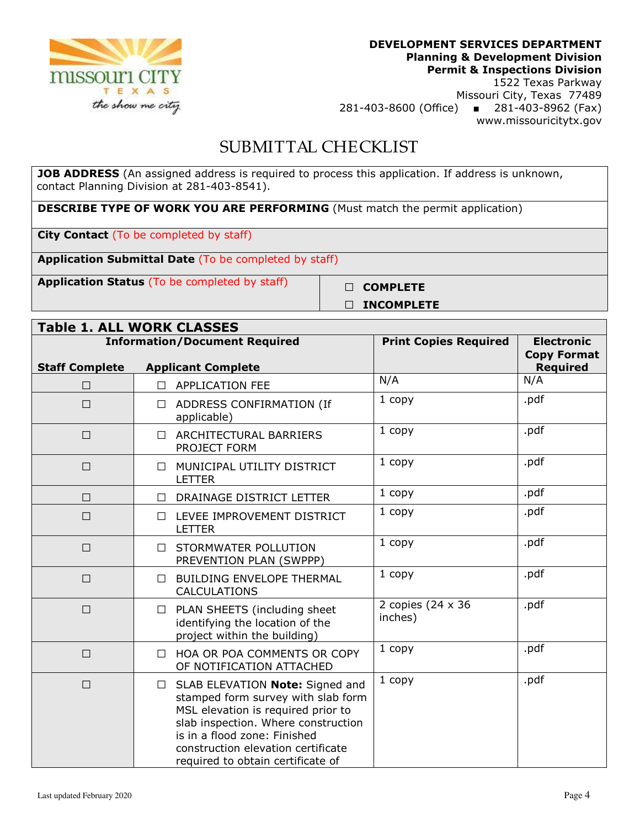

1522 Texas Parkway Missouri City, Texas 77489 281-403-8600 (Office) ■ 281-403-8962 (Fax) www.missouricitytx.gov

## SUBMITTAL CHECKLIST

**JOB ADDRESS** (An assigned address is required to process this application. If address is unknown, contact Planning Division at 281-403-8541).

**DESCRIBE TYPE OF WORK YOU ARE PERFORMING** (Must match the permit application)

**City Contact** (To be completed by staff)

**Application Submittal Date** (To be completed by staff)

**Application Status** (To be completed by staff) **□ COMPLETE** 

# **□ INCOMPLETE**

| <b>Table 1. ALL WORK CLASSES</b> |                                                                                                                                                                                                                                                                         |                              |                                                            |
|----------------------------------|-------------------------------------------------------------------------------------------------------------------------------------------------------------------------------------------------------------------------------------------------------------------------|------------------------------|------------------------------------------------------------|
| <b>Staff Complete</b>            | <b>Information/Document Required</b><br><b>Applicant Complete</b>                                                                                                                                                                                                       | <b>Print Copies Required</b> | <b>Electronic</b><br><b>Copy Format</b><br><b>Required</b> |
| $\Box$                           | <b>APPLICATION FEE</b><br>$\Box$                                                                                                                                                                                                                                        | N/A                          | N/A                                                        |
| $\Box$                           | ADDRESS CONFIRMATION (If<br>$\Box$<br>applicable)                                                                                                                                                                                                                       | 1 copy                       | .pdf                                                       |
| $\Box$                           | ARCHITECTURAL BARRIERS<br>$\Box$<br>PROJECT FORM                                                                                                                                                                                                                        | 1 copy                       | .pdf                                                       |
| □                                | MUNICIPAL UTILITY DISTRICT<br>$\Box$<br><b>LETTER</b>                                                                                                                                                                                                                   | 1 copy                       | .pdf                                                       |
| П                                | DRAINAGE DISTRICT LETTER<br>П                                                                                                                                                                                                                                           | 1 copy                       | .pdf                                                       |
| $\Box$                           | LEVEE IMPROVEMENT DISTRICT<br>П.<br><b>LETTER</b>                                                                                                                                                                                                                       | 1 copy                       | .pdf                                                       |
| $\Box$                           | STORMWATER POLLUTION<br>П.<br>PREVENTION PLAN (SWPPP)                                                                                                                                                                                                                   | 1 copy                       | .pdf                                                       |
| $\Box$                           | <b>BUILDING ENVELOPE THERMAL</b><br>$\Box$<br><b>CALCULATIONS</b>                                                                                                                                                                                                       | 1 copy                       | .pdf                                                       |
| $\Box$                           | PLAN SHEETS (including sheet<br>$\Box$<br>identifying the location of the<br>project within the building)                                                                                                                                                               | 2 copies (24 x 36<br>inches) | .pdf                                                       |
| $\Box$                           | HOA OR POA COMMENTS OR COPY<br>$\Box$<br>OF NOTIFICATION ATTACHED                                                                                                                                                                                                       | 1 copy                       | .pdf                                                       |
| $\Box$                           | SLAB ELEVATION Note: Signed and<br>$\Box$<br>stamped form survey with slab form<br>MSL elevation is required prior to<br>slab inspection. Where construction<br>is in a flood zone: Finished<br>construction elevation certificate<br>required to obtain certificate of | 1 copy                       | .pdf                                                       |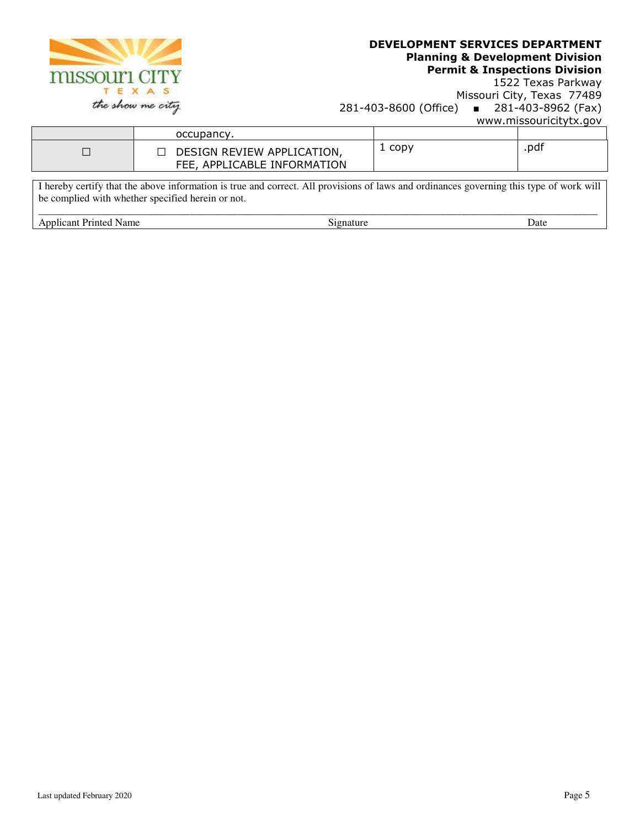

## **DEVELOPMENT SERVICES DEPARTMENT Planning & Development Division**

**Permit & Inspections Division**  1522 Texas Parkway

Missouri City, Texas 77489 281-403-8600 (Office) ■ 281-403-8962 (Fax) www.missouricitytx.gov

| occupancy.                                                |      |      |
|-----------------------------------------------------------|------|------|
| DESIGN REVIEW APPLICATION,<br>FEE, APPLICABLE INFORMATION | copy | .pdf |
|                                                           |      |      |

I hereby certify that the above information is true and correct. All provisions of laws and ordinances governing this type of work will be complied with whether specified herein or not.

| __                |      |      |
|-------------------|------|------|
| Anr<br>Name.<br>. | еннг | Date |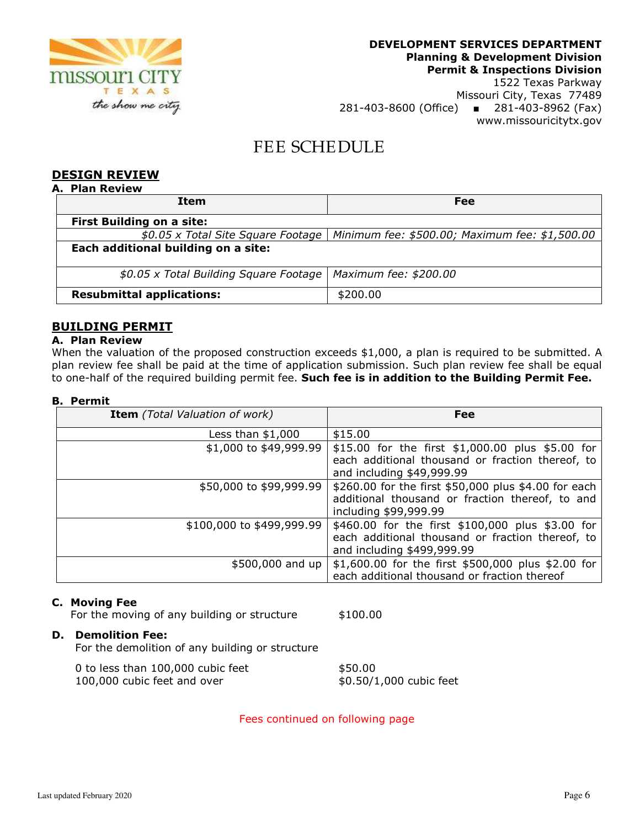

## 281-403-8600 (Office) ■ 281-403-8962 (Fax) www.missouricitytx.gov

## FEE SCHEDULE

### **DESIGN REVIEW**

| <b>Plan Review</b><br>А.               |                                                |
|----------------------------------------|------------------------------------------------|
| Item                                   | Fee                                            |
| <b>First Building on a site:</b>       |                                                |
| \$0.05 x Total Site Square Footage     | Minimum fee: \$500.00; Maximum fee: \$1,500.00 |
| Each additional building on a site:    |                                                |
| \$0.05 x Total Building Square Footage | Maximum fee: \$200.00                          |
| <b>Resubmittal applications:</b>       | \$200.00                                       |

### **BUILDING PERMIT**

#### **A. Plan Review**

When the valuation of the proposed construction exceeds \$1,000, a plan is required to be submitted. A plan review fee shall be paid at the time of application submission. Such plan review fee shall be equal to one-half of the required building permit fee. **Such fee is in addition to the Building Permit Fee.**

#### **B. Permit**

| <b>Item</b> (Total Valuation of work) | Fee                                                  |
|---------------------------------------|------------------------------------------------------|
| Less than $$1,000$                    | \$15.00                                              |
| \$1,000 to \$49,999.99                | \$15.00 for the first \$1,000.00 plus \$5.00 for     |
|                                       | each additional thousand or fraction thereof, to     |
|                                       | and including \$49,999.99                            |
| \$50,000 to \$99,999.99               | \$260.00 for the first \$50,000 plus \$4.00 for each |
|                                       | additional thousand or fraction thereof, to and      |
|                                       | including \$99,999.99                                |
| \$100,000 to \$499,999.99             | \$460.00 for the first \$100,000 plus \$3.00 for     |
|                                       | each additional thousand or fraction thereof, to     |
|                                       | and including \$499,999.99                           |
| \$500,000 and up                      | \$1,600.00 for the first \$500,000 plus \$2.00 for   |
|                                       | each additional thousand or fraction thereof         |

#### **C. Moving Fee**

For the moving of any building or structure \$100.00

#### **D. Demolition Fee:**

For the demolition of any building or structure

| 0 to less than 100,000 cubic feet | \$50.00                 |
|-----------------------------------|-------------------------|
| 100,000 cubic feet and over       | \$0.50/1,000 cubic feet |

Fees continued on following page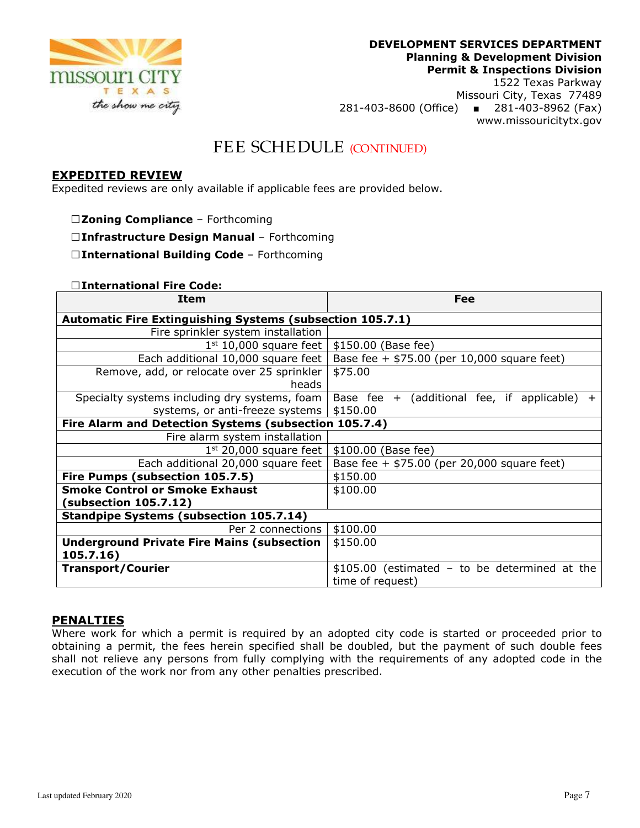

1522 Texas Parkway Missouri City, Texas 77489 281-403-8600 (Office) ■ 281-403-8962 (Fax) www.missouricitytx.gov

## FEE SCHEDULE (CONTINUED)

#### **EXPEDITED REVIEW**

Expedited reviews are only available if applicable fees are provided below.

- **□Zoning Compliance** Forthcoming
- **□Infrastructure Design Manual** Forthcoming

**□International Building Code** – Forthcoming

#### **□International Fire Code:**

| Item                                                             | Fee                                                 |  |
|------------------------------------------------------------------|-----------------------------------------------------|--|
| <b>Automatic Fire Extinguishing Systems (subsection 105.7.1)</b> |                                                     |  |
| Fire sprinkler system installation                               |                                                     |  |
| $1st$ 10,000 square feet                                         | \$150.00 (Base fee)                                 |  |
| Each additional 10,000 square feet                               | Base fee + $$75.00$ (per 10,000 square feet)        |  |
| Remove, add, or relocate over 25 sprinkler                       | \$75.00                                             |  |
| heads                                                            |                                                     |  |
| Specialty systems including dry systems, foam                    | Base fee $+$ (additional fee, if applicable)<br>$+$ |  |
| systems, or anti-freeze systems                                  | \$150.00                                            |  |
| Fire Alarm and Detection Systems (subsection 105.7.4)            |                                                     |  |
| Fire alarm system installation                                   |                                                     |  |
| $1st$ 20,000 square feet                                         | \$100.00 (Base fee)                                 |  |
| Each additional 20,000 square feet                               | Base fee + $$75.00$ (per 20,000 square feet)        |  |
| Fire Pumps (subsection 105.7.5)                                  | \$150.00                                            |  |
| <b>Smoke Control or Smoke Exhaust</b>                            | \$100.00                                            |  |
| (subsection 105.7.12)                                            |                                                     |  |
| <b>Standpipe Systems (subsection 105.7.14)</b>                   |                                                     |  |
| Per 2 connections                                                | \$100.00                                            |  |
| <b>Underground Private Fire Mains (subsection</b>                | \$150.00                                            |  |
| 105.7.16)                                                        |                                                     |  |
| <b>Transport/Courier</b>                                         | $$105.00$ (estimated - to be determined at the      |  |
|                                                                  | time of request)                                    |  |

#### **PENALTIES**

Where work for which a permit is required by an adopted city code is started or proceeded prior to obtaining a permit, the fees herein specified shall be doubled, but the payment of such double fees shall not relieve any persons from fully complying with the requirements of any adopted code in the execution of the work nor from any other penalties prescribed.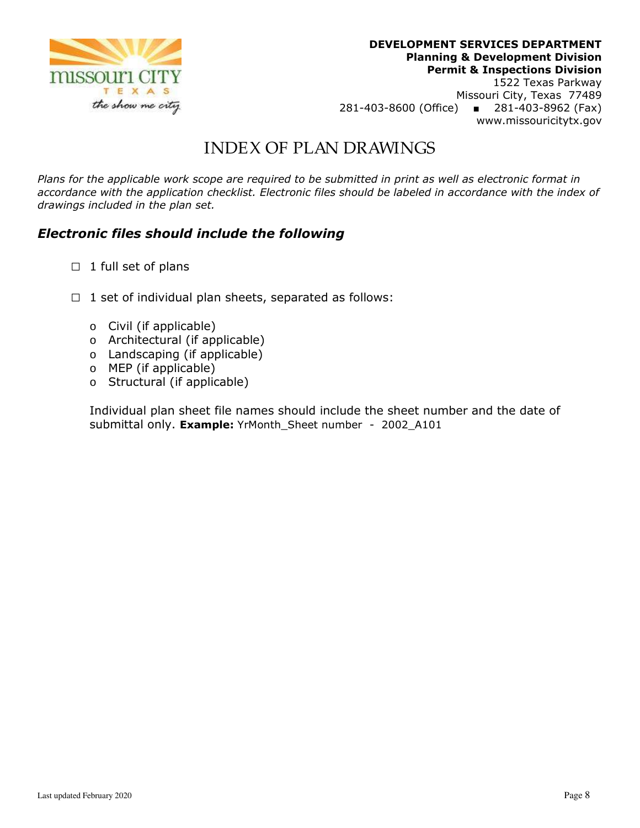

## INDEX OF PLAN DRAWINGS

*Plans for the applicable work scope are required to be submitted in print as well as electronic format in accordance with the application checklist. Electronic files should be labeled in accordance with the index of drawings included in the plan set.* 

## *Electronic files should include the following*

- **□** 1 full set of plans
- **□** 1 set of individual plan sheets, separated as follows:
	- o Civil (if applicable)
	- o Architectural (if applicable)
	- o Landscaping (if applicable)
	- o MEP (if applicable)
	- o Structural (if applicable)

Individual plan sheet file names should include the sheet number and the date of submittal only. **Example:** YrMonth\_Sheet number - 2002\_A101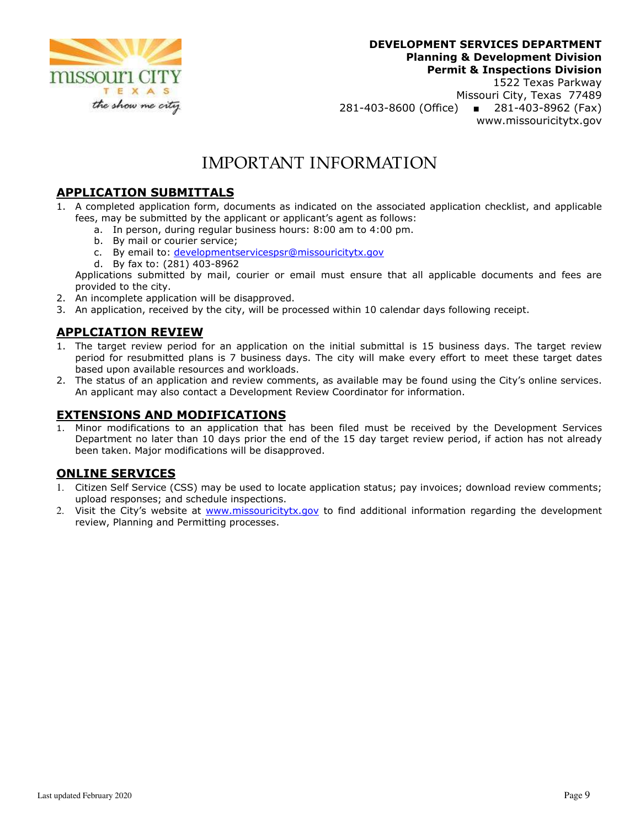

Missouri City, Texas 77489 281-403-8600 (Office) ■ 281-403-8962 (Fax) www.missouricitytx.gov

## IMPORTANT INFORMATION

## **APPLICATION SUBMITTALS**

- 1. A completed application form, documents as indicated on the associated application checklist, and applicable fees, may be submitted by the applicant or applicant's agent as follows:
	- a. In person, during regular business hours: 8:00 am to 4:00 pm.
	- b. By mail or courier service;
	- c. By email to: developmentservicespsr@missouricitytx.gov
	- d. By fax to: (281) 403-8962

Applications submitted by mail, courier or email must ensure that all applicable documents and fees are provided to the city.

- 2. An incomplete application will be disapproved.
- 3. An application, received by the city, will be processed within 10 calendar days following receipt.

## **APPLCIATION REVIEW**

- 1. The target review period for an application on the initial submittal is 15 business days. The target review period for resubmitted plans is 7 business days. The city will make every effort to meet these target dates based upon available resources and workloads.
- 2. The status of an application and review comments, as available may be found using the City's online services. An applicant may also contact a Development Review Coordinator for information.

### **EXTENSIONS AND MODIFICATIONS**

1. Minor modifications to an application that has been filed must be received by the Development Services Department no later than 10 days prior the end of the 15 day target review period, if action has not already been taken. Major modifications will be disapproved.

### **ONLINE SERVICES**

- 1. Citizen Self Service (CSS) may be used to locate application status; pay invoices; download review comments; upload responses; and schedule inspections.
- 2. Visit the City's website at www.missouricitytx.gov to find additional information regarding the development review, Planning and Permitting processes.